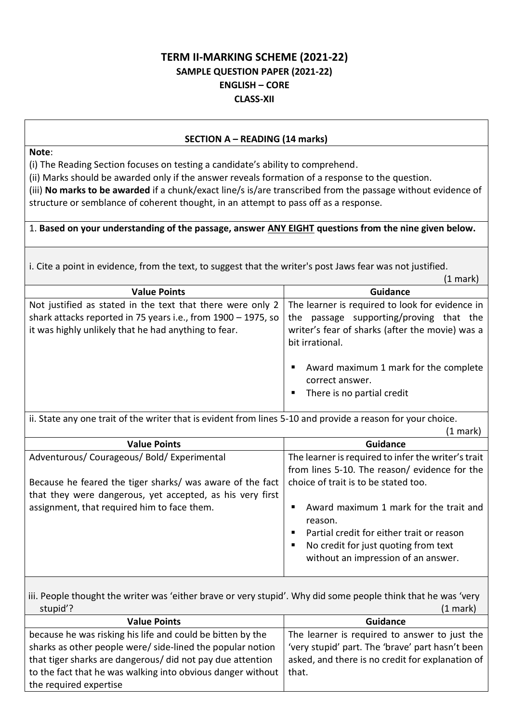# **TERM II-MARKING SCHEME (2021-22) SAMPLE QUESTION PAPER (2021-22) ENGLISH – CORE CLASS-XII**

# **SECTION A – READING (14 marks)**

**Note**:

(i) The Reading Section focuses on testing a candidate's ability to comprehend.

(ii) Marks should be awarded only if the answer reveals formation of a response to the question.

(iii) **No marks to be awarded** if a chunk/exact line/s is/are transcribed from the passage without evidence of structure or semblance of coherent thought, in an attempt to pass off as a response.

# 1. **Based on your understanding of the passage, answer ANY EIGHT questions from the nine given below.**

i. Cite a point in evidence, from the text, to suggest that the writer's post Jaws fear was not justified.

|                                                                                                             | (1 mark)                                            |
|-------------------------------------------------------------------------------------------------------------|-----------------------------------------------------|
| <b>Value Points</b>                                                                                         | Guidance                                            |
| Not justified as stated in the text that there were only 2                                                  | The learner is required to look for evidence in     |
| shark attacks reported in 75 years i.e., from 1900 - 1975, so                                               | the passage supporting/proving that the             |
| it was highly unlikely that he had anything to fear.                                                        | writer's fear of sharks (after the movie) was a     |
|                                                                                                             | bit irrational.                                     |
|                                                                                                             |                                                     |
|                                                                                                             | Award maximum 1 mark for the complete<br>٠          |
|                                                                                                             | correct answer.                                     |
|                                                                                                             | There is no partial credit<br>п                     |
|                                                                                                             |                                                     |
| ii. State any one trait of the writer that is evident from lines 5-10 and provide a reason for your choice. |                                                     |
| $(1 \text{ mark})$                                                                                          |                                                     |
| <b>Value Points</b>                                                                                         | <b>Guidance</b>                                     |
| Adventurous/Courageous/Bold/Experimental                                                                    | The learner is required to infer the writer's trait |
|                                                                                                             | from lines 5-10. The reason/ evidence for the       |
|                                                                                                             |                                                     |
| Because he feared the tiger sharks/ was aware of the fact                                                   | choice of trait is to be stated too.                |
| that they were dangerous, yet accepted, as his very first                                                   |                                                     |
| assignment, that required him to face them.                                                                 | Award maximum 1 mark for the trait and<br>п         |
|                                                                                                             | reason.                                             |
|                                                                                                             | Partial credit for either trait or reason<br>٠      |
|                                                                                                             | No credit for just quoting from text<br>п           |
|                                                                                                             | without an impression of an answer.                 |
|                                                                                                             |                                                     |

iii. People thought the writer was 'either brave or very stupid'. Why did some people think that he was 'very stupid'? (1 mark)

| <b>Value Points</b>                                         | <b>Guidance</b>                                  |
|-------------------------------------------------------------|--------------------------------------------------|
| because he was risking his life and could be bitten by the  | The learner is required to answer to just the    |
| sharks as other people were/ side-lined the popular notion  | 'very stupid' part. The 'brave' part hasn't been |
| that tiger sharks are dangerous/ did not pay due attention  | asked, and there is no credit for explanation of |
| to the fact that he was walking into obvious danger without | that.                                            |
| the required expertise                                      |                                                  |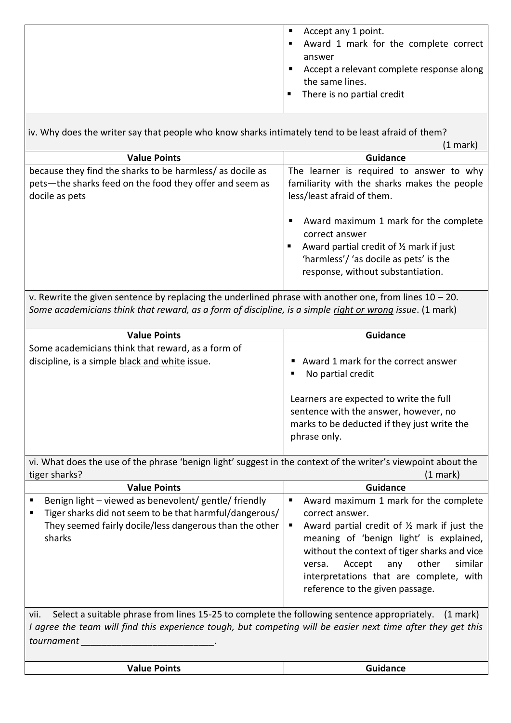| Accept any 1 point.<br>ш<br>Award 1 mark for the complete correct                                         |
|-----------------------------------------------------------------------------------------------------------|
| answer<br>Accept a relevant complete response along<br>ш<br>the same lines.<br>There is no partial credit |

iv. Why does the writer say that people who know sharks intimately tend to be least afraid of them?

| $(1$ mark) |
|------------|

|                                                                                                                                        | $(1 \text{ mark})$                                                                                                                                                                                                                                                                                                |
|----------------------------------------------------------------------------------------------------------------------------------------|-------------------------------------------------------------------------------------------------------------------------------------------------------------------------------------------------------------------------------------------------------------------------------------------------------------------|
| <b>Value Points</b>                                                                                                                    | <b>Guidance</b>                                                                                                                                                                                                                                                                                                   |
| because they find the sharks to be harmless/ as docile as<br>pets-the sharks feed on the food they offer and seem as<br>docile as pets | The learner is required to answer to why<br>familiarity with the sharks makes the people<br>less/least afraid of them.<br>Award maximum 1 mark for the complete<br>correct answer<br>Award partial credit of 1/2 mark if just<br>п<br>'harmless'/ 'as docile as pets' is the<br>response, without substantiation. |

v. Rewrite the given sentence by replacing the underlined phrase with another one, from lines  $10 - 20$ . *Some academicians think that reward, as a form of discipline, is a simple right or wrong issue*. (1 mark)

| <b>Value Points</b>                                                                                 | <b>Guidance</b>                                                                                                                                                                                             |
|-----------------------------------------------------------------------------------------------------|-------------------------------------------------------------------------------------------------------------------------------------------------------------------------------------------------------------|
| Some academicians think that reward, as a form of<br>discipline, is a simple black and white issue. | Award 1 mark for the correct answer<br>No partial credit<br>Learners are expected to write the full<br>sentence with the answer, however, no<br>marks to be deducted if they just write the<br>phrase only. |

vi. What does the use of the phrase 'benign light' suggest in the context of the writer's viewpoint about the tiger sharks? (1 mark)

| <b>Value Points</b>                                               | <b>Guidance</b>                                                                                                                                                                                                                                                                |
|-------------------------------------------------------------------|--------------------------------------------------------------------------------------------------------------------------------------------------------------------------------------------------------------------------------------------------------------------------------|
| Benign light - viewed as benevolent/ gentle/ friendly             | Award maximum 1 mark for the complete                                                                                                                                                                                                                                          |
| Tiger sharks did not seem to be that harmful/dangerous/           | correct answer.                                                                                                                                                                                                                                                                |
| They seemed fairly docile/less dangerous than the other<br>sharks | Award partial credit of $\frac{1}{2}$ mark if just the<br>meaning of 'benign light' is explained,<br>without the context of tiger sharks and vice<br>similar<br>other<br>Accept<br>anv<br>versa.<br>interpretations that are complete, with<br>reference to the given passage. |

vii. Select a suitable phrase from lines 15-25 to complete the following sentence appropriately. (1 mark) *I agree the team will find this experience tough, but competing will be easier next time after they get this tournament \_\_\_\_\_\_\_\_\_\_\_\_\_\_\_\_\_\_\_\_\_\_\_\_\_\_.* 

| <b>Value Points</b> | <b>Guidance</b> |
|---------------------|-----------------|
|                     |                 |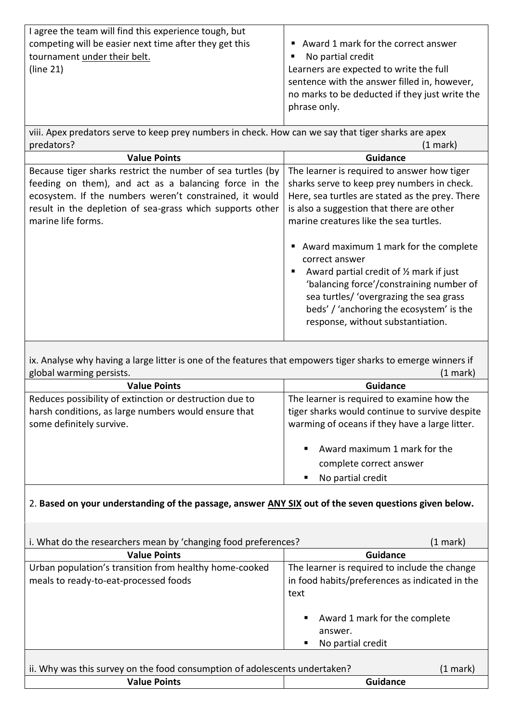| sentence with the answer filled in, however,   |
|------------------------------------------------|
| no marks to be deducted if they just write the |
|                                                |
|                                                |

viii. Apex predators serve to keep prey numbers in check. How can we say that tiger sharks are apex<br>predators? (1 mai predators? (1 mark)

| <b>Value Points</b>                                         | <b>Guidance</b>                                                                                                                                                                                                                                                                                 |
|-------------------------------------------------------------|-------------------------------------------------------------------------------------------------------------------------------------------------------------------------------------------------------------------------------------------------------------------------------------------------|
| Because tiger sharks restrict the number of sea turtles (by | The learner is required to answer how tiger                                                                                                                                                                                                                                                     |
| feeding on them), and act as a balancing force in the       | sharks serve to keep prey numbers in check.                                                                                                                                                                                                                                                     |
| ecosystem. If the numbers weren't constrained, it would     | Here, sea turtles are stated as the prey. There                                                                                                                                                                                                                                                 |
| result in the depletion of sea-grass which supports other   | is also a suggestion that there are other                                                                                                                                                                                                                                                       |
| marine life forms.                                          | marine creatures like the sea turtles.                                                                                                                                                                                                                                                          |
|                                                             | Award maximum 1 mark for the complete<br>п<br>correct answer<br>Award partial credit of $\frac{1}{2}$ mark if just<br>п<br>'balancing force'/constraining number of<br>sea turtles/ 'overgrazing the sea grass<br>beds' / 'anchoring the ecosystem' is the<br>response, without substantiation. |

ix. Analyse why having a large litter is one of the features that empowers tiger sharks to emerge winners if global warming persists. (1 mark)

| <b>Value Points</b>                                     | <b>Guidance</b>                                |
|---------------------------------------------------------|------------------------------------------------|
| Reduces possibility of extinction or destruction due to | The learner is required to examine how the     |
| harsh conditions, as large numbers would ensure that    | tiger sharks would continue to survive despite |
| some definitely survive.                                | warming of oceans if they have a large litter. |
|                                                         |                                                |
|                                                         | Award maximum 1 mark for the<br>$\blacksquare$ |
|                                                         | complete correct answer                        |
|                                                         | No partial credit<br>Е                         |

# 2. **Based on your understanding of the passage, answer ANY SIX out of the seven questions given below.**

| i. What do the researchers mean by 'changing food preferences?                                    | (1 mark)                                                                                                |
|---------------------------------------------------------------------------------------------------|---------------------------------------------------------------------------------------------------------|
| <b>Value Points</b>                                                                               | <b>Guidance</b>                                                                                         |
| Urban population's transition from healthy home-cooked<br>meals to ready-to-eat-processed foods   | The learner is required to include the change<br>in food habits/preferences as indicated in the<br>text |
|                                                                                                   | Award 1 mark for the complete<br>٠<br>answer.<br>No partial credit<br>п                                 |
| ii. Why was this survey on the food consumption of adolescents undertaken?<br><b>Value Points</b> | (1 mark)<br><b>Guidance</b>                                                                             |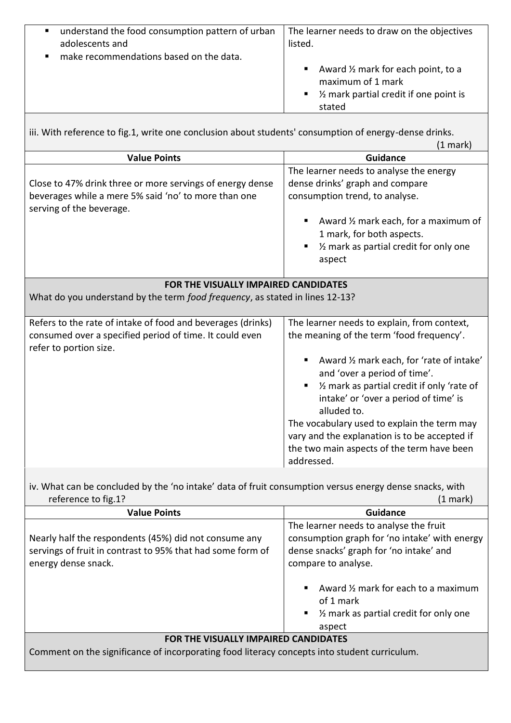| understand the food consumption pattern of urban                                                                   | The learner needs to draw on the objectives                                                                                          |  |  |
|--------------------------------------------------------------------------------------------------------------------|--------------------------------------------------------------------------------------------------------------------------------------|--|--|
| adolescents and                                                                                                    | listed.                                                                                                                              |  |  |
| make recommendations based on the data.                                                                            |                                                                                                                                      |  |  |
|                                                                                                                    | Award $\frac{1}{2}$ mark for each point, to a<br>maximum of 1 mark<br>$\blacksquare$ % mark partial credit if one point is<br>stated |  |  |
| iii. With reference to fig.1, write one conclusion about students' consumption of energy-dense drinks.<br>(1 mark) |                                                                                                                                      |  |  |
| Value Doints                                                                                                       | Guidance                                                                                                                             |  |  |

| <b>Value Points</b>                                                                                                                              | <b>Guidance</b>                                                                                                                                                                                                                                                                                                                                                                                                                               |  |  |  |
|--------------------------------------------------------------------------------------------------------------------------------------------------|-----------------------------------------------------------------------------------------------------------------------------------------------------------------------------------------------------------------------------------------------------------------------------------------------------------------------------------------------------------------------------------------------------------------------------------------------|--|--|--|
| Close to 47% drink three or more servings of energy dense<br>beverages while a mere 5% said 'no' to more than one<br>serving of the beverage.    | The learner needs to analyse the energy<br>dense drinks' graph and compare<br>consumption trend, to analyse.<br>Award 1/2 mark each, for a maximum of<br>1 mark, for both aspects.<br>1/2 mark as partial credit for only one<br>٠<br>aspect                                                                                                                                                                                                  |  |  |  |
|                                                                                                                                                  | FOR THE VISUALLY IMPAIRED CANDIDATES                                                                                                                                                                                                                                                                                                                                                                                                          |  |  |  |
| What do you understand by the term food frequency, as stated in lines 12-13?                                                                     |                                                                                                                                                                                                                                                                                                                                                                                                                                               |  |  |  |
| Refers to the rate of intake of food and beverages (drinks)<br>consumed over a specified period of time. It could even<br>refer to portion size. | The learner needs to explain, from context,<br>the meaning of the term 'food frequency'.<br>Award 1/2 mark each, for 'rate of intake'<br>and 'over a period of time'.<br>1/2 mark as partial credit if only 'rate of<br>٠<br>intake' or 'over a period of time' is<br>alluded to.<br>The vocabulary used to explain the term may<br>vary and the explanation is to be accepted if<br>the two main aspects of the term have been<br>addressed. |  |  |  |

| iv. What can be concluded by the 'no intake' data of fruit consumption versus energy dense snacks, with |                    |
|---------------------------------------------------------------------------------------------------------|--------------------|
| reference to fig.1?                                                                                     | $(1 \text{ mark})$ |

| <b>Value Points</b>                                                                                                                        | <b>Guidance</b>                                                                                                                                           |  |
|--------------------------------------------------------------------------------------------------------------------------------------------|-----------------------------------------------------------------------------------------------------------------------------------------------------------|--|
| Nearly half the respondents (45%) did not consume any<br>servings of fruit in contrast to 95% that had some form of<br>energy dense snack. | The learner needs to analyse the fruit<br>consumption graph for 'no intake' with energy<br>dense snacks' graph for 'no intake' and<br>compare to analyse. |  |
|                                                                                                                                            | Award $\frac{1}{2}$ mark for each to a maximum<br>of 1 mark<br>$\blacksquare$ % mark as partial credit for only one<br>aspect                             |  |
| <b>FOR THE VISUALLY IMPAIRED CANDIDATES</b>                                                                                                |                                                                                                                                                           |  |

Comment on the significance of incorporating food literacy concepts into student curriculum.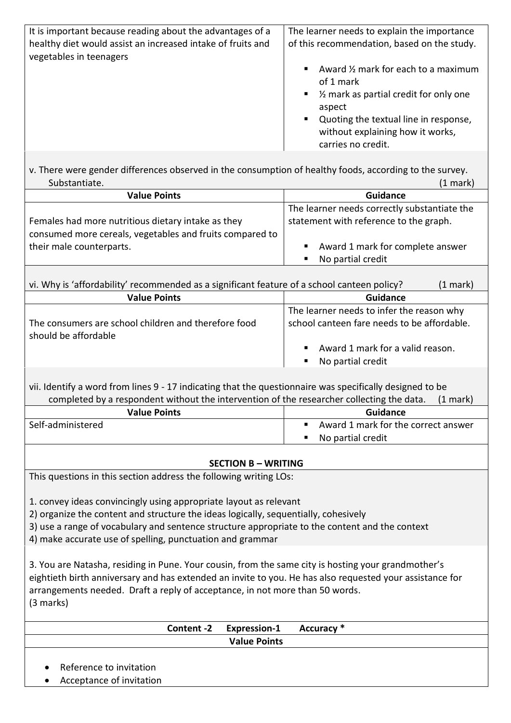| It is important because reading about the advantages of a<br>healthy diet would assist an increased intake of fruits and<br>vegetables in teenagers | The learner needs to explain the importance<br>of this recommendation, based on the study.                                                                  |
|-----------------------------------------------------------------------------------------------------------------------------------------------------|-------------------------------------------------------------------------------------------------------------------------------------------------------------|
|                                                                                                                                                     | Award 1/2 mark for each to a maximum<br>of 1 mark<br>1/ <sub>2</sub> mark as partial credit for only one<br>aspect<br>Quoting the textual line in response, |
|                                                                                                                                                     | without explaining how it works,<br>carries no credit.                                                                                                      |
| v. There were gender differences observed in the consumption of healthy foods, according to the survey.                                             |                                                                                                                                                             |
| Substantiate.                                                                                                                                       | $(1$ mark $)$                                                                                                                                               |
| Value Points                                                                                                                                        | Guidance                                                                                                                                                    |

| <b>Value Points</b>                                                                                            | Guidance                                                  |
|----------------------------------------------------------------------------------------------------------------|-----------------------------------------------------------|
|                                                                                                                | The learner needs correctly substantiate the              |
| Females had more nutritious dietary intake as they<br>consumed more cereals, vegetables and fruits compared to | statement with reference to the graph.                    |
| their male counterparts.                                                                                       | ■ Award 1 mark for complete answer<br>■ No partial credit |

| vi. Why is 'affordability' recommended as a significant feature of a school canteen policy? | (1 mark)                                                                                 |
|---------------------------------------------------------------------------------------------|------------------------------------------------------------------------------------------|
| <b>Value Points</b>                                                                         | <b>Guidance</b>                                                                          |
| The consumers are school children and therefore food<br>should be affordable                | The learner needs to infer the reason why<br>school canteen fare needs to be affordable. |
|                                                                                             | Award 1 mark for a valid reason.<br>$\blacksquare$<br>No partial credit<br>п             |

vii. Identify a word from lines 9 - 17 indicating that the questionnaire was specifically designed to be completed by a respondent without the intervention of the researcher collecting the data. (1 mark)

| <b>Value Points</b> | Guidance                            |
|---------------------|-------------------------------------|
| Self-administered   | Award 1 mark for the correct answer |
|                     | No partial credit                   |

# **SECTION B – WRITING**

This questions in this section address the following writing LOs:

1. convey ideas convincingly using appropriate layout as relevant

2) organize the content and structure the ideas logically, sequentially, cohesively

3) use a range of vocabulary and sentence structure appropriate to the content and the context

4) make accurate use of spelling, punctuation and grammar

3. You are Natasha, residing in Pune. Your cousin, from the same city is hosting your grandmother's eightieth birth anniversary and has extended an invite to you. He has also requested your assistance for arrangements needed. Draft a reply of acceptance, in not more than 50 words. (3 marks)

|                          | Content -2 Expression-1 Accuracy * |  |
|--------------------------|------------------------------------|--|
|                          | <b>Value Points</b>                |  |
|                          |                                    |  |
| Reference to invitation  |                                    |  |
| Acceptance of invitation |                                    |  |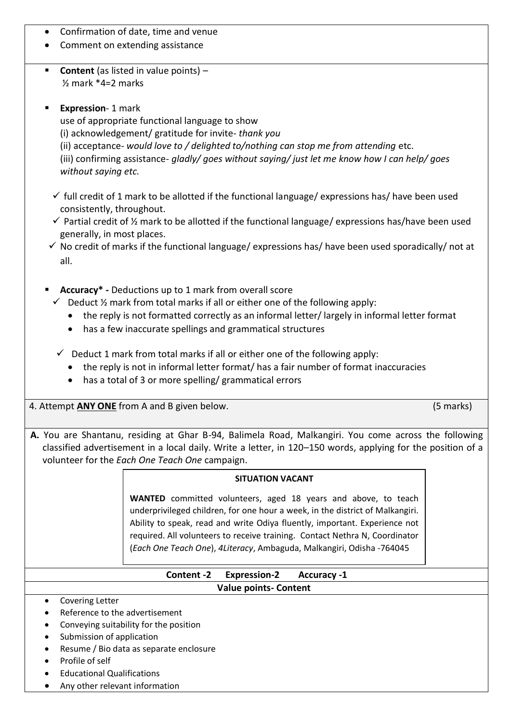- Confirmation of date, time and venue
- Comment on extending assistance
- **Content** (as listed in value points) ½ mark \*4=2 marks
- **Expression- 1 mark**

use of appropriate functional language to show

(i) acknowledgement/ gratitude for invite- *thank you*

(ii) acceptance- *would love to / delighted to/nothing can stop me from attending* etc.

(iii) confirming assistance- *gladly/ goes without saying/ just let me know how I can help/ goes without saying etc.* 

- $\checkmark$  full credit of 1 mark to be allotted if the functional language/ expressions has/ have been used consistently, throughout.
- $\checkmark$  Partial credit of  $\frac{1}{2}$  mark to be allotted if the functional language/ expressions has/have been used generally, in most places.
- $\checkmark$  No credit of marks if the functional language/ expressions has/ have been used sporadically/ not at all.
- Accuracy<sup>\*</sup> Deductions up to 1 mark from overall score
	- $\checkmark$  Deduct  $\frac{1}{2}$  mark from total marks if all or either one of the following apply:
		- the reply is not formatted correctly as an informal letter/ largely in informal letter format
		- has a few inaccurate spellings and grammatical structures
	- $\checkmark$  Deduct 1 mark from total marks if all or either one of the following apply:
		- the reply is not in informal letter format/ has a fair number of format inaccuracies
		- has a total of 3 or more spelling/ grammatical errors
- 4. Attempt **ANY ONE** from A and B given below. (5 marks)

**A.** You are Shantanu, residing at Ghar B-94, Balimela Road, Malkangiri. You come across the following classified advertisement in a local daily. Write a letter, in 120–150 words, applying for the position of a volunteer for the *Each One Teach One* campaign.

### **SITUATION VACANT**

**WANTED** committed volunteers, aged 18 years and above, to teach underprivileged children, for one hour a week, in the district of Malkangiri. Ability to speak, read and write Odiya fluently, important. Experience not required. All volunteers to receive training. Contact Nethra N, Coordinator (*Each One Teach One*), *4Literacy*, Ambaguda, Malkangiri, Odisha -764045

# **Content -2 Expression-2 Accuracy -1 Value points- Content**

- Covering Letter
- Reference to the advertisement
- Conveying suitability for the position
- Submission of application
- Resume / Bio data as separate enclosure
- Profile of self
- Educational Qualifications
- Any other relevant information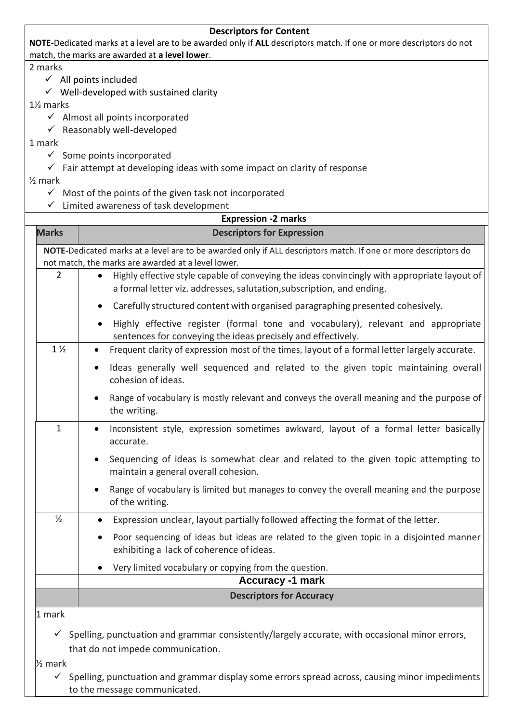## **Descriptors for Content**

**NOTE-**Dedicated marks at a level are to be awarded only if **ALL** descriptors match. If one or more descriptors do not match, the marks are awarded at **a level lower**.

2 marks

- $\checkmark$  All points included
- $\checkmark$  Well-developed with sustained clarity

1½ marks

- $\checkmark$  Almost all points incorporated
- $\checkmark$  Reasonably well-developed

1 mark

- $\checkmark$  Some points incorporated
- $\checkmark$  Fair attempt at developing ideas with some impact on clarity of response

½ mark

- $\checkmark$  Most of the points of the given task not incorporated
- ✓ Limited awareness of task development

|                    | <b>Expression -2 marks</b>                                                                                                                                                          |
|--------------------|-------------------------------------------------------------------------------------------------------------------------------------------------------------------------------------|
| <b>Marks</b>       | <b>Descriptors for Expression</b>                                                                                                                                                   |
|                    | NOTE-Dedicated marks at a level are to be awarded only if ALL descriptors match. If one or more descriptors do<br>not match, the marks are awarded at a level lower.                |
| $\overline{2}$     | Highly effective style capable of conveying the ideas convincingly with appropriate layout of<br>$\bullet$<br>a formal letter viz. addresses, salutation, subscription, and ending. |
|                    | Carefully structured content with organised paragraphing presented cohesively.<br>$\bullet$                                                                                         |
|                    | Highly effective register (formal tone and vocabulary), relevant and appropriate<br>٠<br>sentences for conveying the ideas precisely and effectively.                               |
| $1\frac{1}{2}$     | Frequent clarity of expression most of the times, layout of a formal letter largely accurate.                                                                                       |
|                    | Ideas generally well sequenced and related to the given topic maintaining overall<br>$\bullet$<br>cohesion of ideas.                                                                |
|                    | Range of vocabulary is mostly relevant and conveys the overall meaning and the purpose of<br>$\bullet$<br>the writing.                                                              |
| $\mathbf{1}$       | Inconsistent style, expression sometimes awkward, layout of a formal letter basically<br>$\bullet$<br>accurate.                                                                     |
|                    | Sequencing of ideas is somewhat clear and related to the given topic attempting to<br>$\bullet$<br>maintain a general overall cohesion.                                             |
|                    | Range of vocabulary is limited but manages to convey the overall meaning and the purpose<br>of the writing.                                                                         |
| $\frac{1}{2}$      | Expression unclear, layout partially followed affecting the format of the letter.<br>٠                                                                                              |
|                    | Poor sequencing of ideas but ideas are related to the given topic in a disjointed manner<br>$\bullet$<br>exhibiting a lack of coherence of ideas.                                   |
|                    | Very limited vocabulary or copying from the question.<br>$\bullet$                                                                                                                  |
|                    | <b>Accuracy -1 mark</b>                                                                                                                                                             |
|                    | <b>Descriptors for Accuracy</b>                                                                                                                                                     |
| 1 mark             |                                                                                                                                                                                     |
|                    | $\checkmark$ Spelling, punctuation and grammar consistently/largely accurate, with occasional minor errors,<br>that do not impede communication.                                    |
| $\frac{1}{2}$ mark |                                                                                                                                                                                     |

✓ Spelling, punctuation and grammar display some errors spread across, causing minor impediments to the message communicated.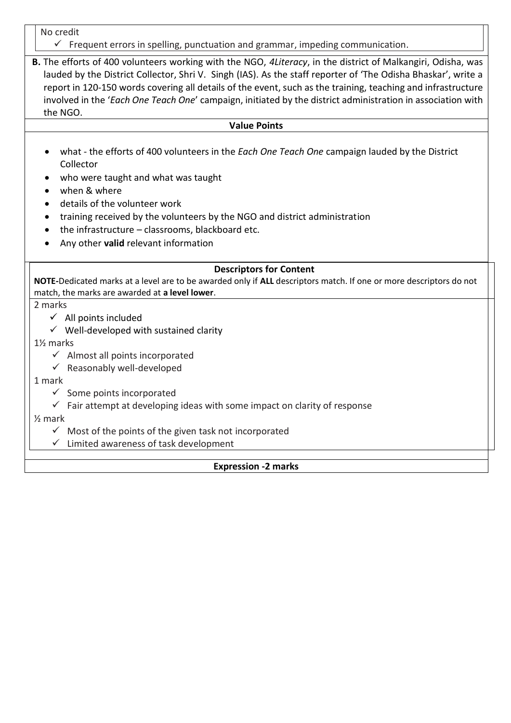No credit

 $\checkmark$  Frequent errors in spelling, punctuation and grammar, impeding communication.

**B.** The efforts of 400 volunteers working with the NGO, *4Literacy*, in the district of Malkangiri, Odisha, was lauded by the District Collector, Shri V. Singh (IAS). As the staff reporter of 'The Odisha Bhaskar', write a report in 120-150 words covering all details of the event, such as the training, teaching and infrastructure involved in the '*Each One Teach One*' campaign, initiated by the district administration in association with the NGO.

#### **Value Points**

- what the efforts of 400 volunteers in the *Each One Teach One* campaign lauded by the District Collector
- who were taught and what was taught
- when & where
- details of the volunteer work
- training received by the volunteers by the NGO and district administration
- the infrastructure  $-$  classrooms, blackboard etc.
- Any other **valid** relevant information

### **Descriptors for Content**

**NOTE-**Dedicated marks at a level are to be awarded only if **ALL** descriptors match. If one or more descriptors do not match, the marks are awarded at **a level lower**.

2 marks

- $\checkmark$  All points included
- $\checkmark$  Well-developed with sustained clarity

1½ marks

- $\checkmark$  Almost all points incorporated
- $\checkmark$  Reasonably well-developed

### 1 mark

- $\checkmark$  Some points incorporated
- $\checkmark$  Fair attempt at developing ideas with some impact on clarity of response

### ½ mark

 $\checkmark$  Most of the points of the given task not incorporated

✓ Limited awareness of task development

# **Expression -2 marks**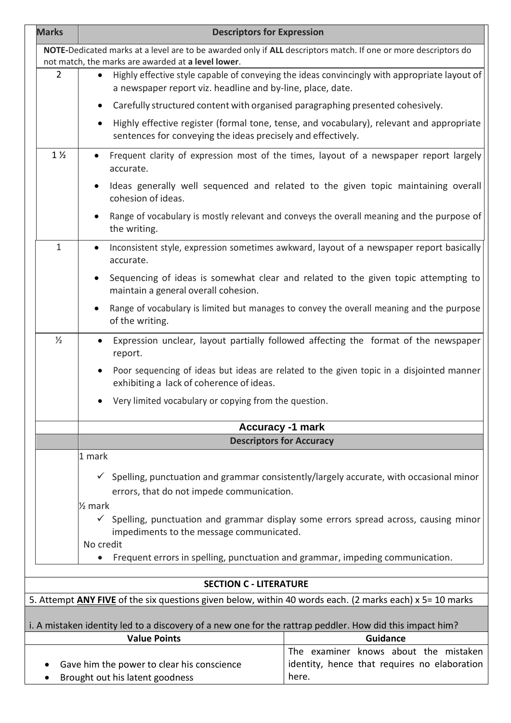| <b>Marks</b>                                                                                                                                                         | <b>Descriptors for Expression</b>                                                                                                                                        |                                                                                                     |  |  |
|----------------------------------------------------------------------------------------------------------------------------------------------------------------------|--------------------------------------------------------------------------------------------------------------------------------------------------------------------------|-----------------------------------------------------------------------------------------------------|--|--|
| NOTE-Dedicated marks at a level are to be awarded only if ALL descriptors match. If one or more descriptors do<br>not match, the marks are awarded at a level lower. |                                                                                                                                                                          |                                                                                                     |  |  |
| $\overline{2}$                                                                                                                                                       | Highly effective style capable of conveying the ideas convincingly with appropriate layout of<br>$\bullet$<br>a newspaper report viz. headline and by-line, place, date. |                                                                                                     |  |  |
|                                                                                                                                                                      | Carefully structured content with organised paragraphing presented cohesively.<br>$\bullet$                                                                              |                                                                                                     |  |  |
|                                                                                                                                                                      | $\bullet$<br>sentences for conveying the ideas precisely and effectively.                                                                                                | Highly effective register (formal tone, tense, and vocabulary), relevant and appropriate            |  |  |
| $1\frac{1}{2}$                                                                                                                                                       | accurate.                                                                                                                                                                | Frequent clarity of expression most of the times, layout of a newspaper report largely              |  |  |
|                                                                                                                                                                      | cohesion of ideas.                                                                                                                                                       | Ideas generally well sequenced and related to the given topic maintaining overall                   |  |  |
|                                                                                                                                                                      | the writing.                                                                                                                                                             | Range of vocabulary is mostly relevant and conveys the overall meaning and the purpose of           |  |  |
| $\mathbf{1}$                                                                                                                                                         | Inconsistent style, expression sometimes awkward, layout of a newspaper report basically<br>$\bullet$<br>accurate.                                                       |                                                                                                     |  |  |
|                                                                                                                                                                      | Sequencing of ideas is somewhat clear and related to the given topic attempting to<br>maintain a general overall cohesion.                                               |                                                                                                     |  |  |
|                                                                                                                                                                      | Range of vocabulary is limited but manages to convey the overall meaning and the purpose<br>of the writing.                                                              |                                                                                                     |  |  |
| $\frac{1}{2}$                                                                                                                                                        | Expression unclear, layout partially followed affecting the format of the newspaper<br>$\bullet$<br>report.                                                              |                                                                                                     |  |  |
|                                                                                                                                                                      | Poor sequencing of ideas but ideas are related to the given topic in a disjointed manner<br>$\bullet$<br>exhibiting a lack of coherence of ideas.                        |                                                                                                     |  |  |
| Very limited vocabulary or copying from the question.                                                                                                                |                                                                                                                                                                          |                                                                                                     |  |  |
| <b>Accuracy -1 mark</b>                                                                                                                                              |                                                                                                                                                                          |                                                                                                     |  |  |
| <b>Descriptors for Accuracy</b>                                                                                                                                      |                                                                                                                                                                          |                                                                                                     |  |  |
|                                                                                                                                                                      | 1 mark                                                                                                                                                                   |                                                                                                     |  |  |
|                                                                                                                                                                      |                                                                                                                                                                          | $\checkmark$ Spelling, punctuation and grammar consistently/largely accurate, with occasional minor |  |  |
| errors, that do not impede communication.                                                                                                                            |                                                                                                                                                                          |                                                                                                     |  |  |
| $\frac{1}{2}$ mark<br>$\checkmark$<br>Spelling, punctuation and grammar display some errors spread across, causing minor                                             |                                                                                                                                                                          |                                                                                                     |  |  |
| impediments to the message communicated.                                                                                                                             |                                                                                                                                                                          |                                                                                                     |  |  |
| No credit<br>Frequent errors in spelling, punctuation and grammar, impeding communication.                                                                           |                                                                                                                                                                          |                                                                                                     |  |  |
|                                                                                                                                                                      |                                                                                                                                                                          |                                                                                                     |  |  |
| <b>SECTION C - LITERATURE</b>                                                                                                                                        |                                                                                                                                                                          |                                                                                                     |  |  |
| 5. Attempt <b>ANY FIVE</b> of the six questions given below, within 40 words each. (2 marks each) x 5= 10 marks                                                      |                                                                                                                                                                          |                                                                                                     |  |  |
| i. A mistaken identity led to a discovery of a new one for the rattrap peddler. How did this impact him?                                                             |                                                                                                                                                                          |                                                                                                     |  |  |
|                                                                                                                                                                      | <b>Value Points</b>                                                                                                                                                      | <b>Guidance</b>                                                                                     |  |  |
|                                                                                                                                                                      |                                                                                                                                                                          | The examiner knows about the mistaken                                                               |  |  |
|                                                                                                                                                                      | Gave him the power to clear his conscience<br>Brought out his latent goodness                                                                                            | identity, hence that requires no elaboration<br>here.                                               |  |  |
|                                                                                                                                                                      |                                                                                                                                                                          |                                                                                                     |  |  |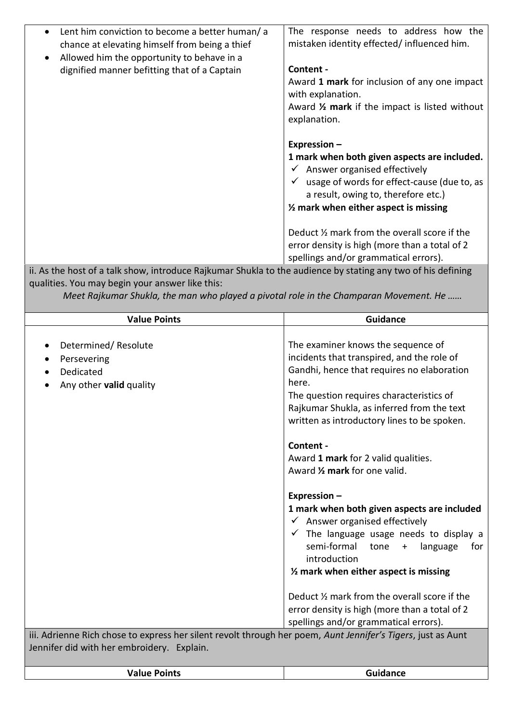| Lent him conviction to become a better human/a<br>chance at elevating himself from being a thief             | The response needs to address how the<br>mistaken identity effected/influenced him. |  |
|--------------------------------------------------------------------------------------------------------------|-------------------------------------------------------------------------------------|--|
| Allowed him the opportunity to behave in a                                                                   |                                                                                     |  |
| dignified manner befitting that of a Captain                                                                 | Content -                                                                           |  |
|                                                                                                              | Award 1 mark for inclusion of any one impact                                        |  |
|                                                                                                              | with explanation.                                                                   |  |
|                                                                                                              | Award 1/2 mark if the impact is listed without                                      |  |
|                                                                                                              | explanation.                                                                        |  |
|                                                                                                              |                                                                                     |  |
|                                                                                                              | Expression -                                                                        |  |
|                                                                                                              | 1 mark when both given aspects are included.                                        |  |
|                                                                                                              | $\checkmark$ Answer organised effectively                                           |  |
|                                                                                                              | $\checkmark$ usage of words for effect-cause (due to, as                            |  |
|                                                                                                              | a result, owing to, therefore etc.)                                                 |  |
|                                                                                                              | $\frac{1}{2}$ mark when either aspect is missing                                    |  |
|                                                                                                              |                                                                                     |  |
|                                                                                                              | Deduct 1/2 mark from the overall score if the                                       |  |
|                                                                                                              | error density is high (more than a total of 2                                       |  |
|                                                                                                              | spellings and/or grammatical errors).                                               |  |
| ii. As the host of a talk show, introduce Rajkumar Shukla to the audience by stating any two of his defining |                                                                                     |  |
| qualities. You may begin your answer like this:                                                              |                                                                                     |  |

*Meet Rajkumar Shukla, the man who played a pivotal role in the Champaran Movement. He ......* 

| <b>Value Points</b>                                                                                                                                        | <b>Guidance</b>                                                                                                                                                                                                                                                                                |
|------------------------------------------------------------------------------------------------------------------------------------------------------------|------------------------------------------------------------------------------------------------------------------------------------------------------------------------------------------------------------------------------------------------------------------------------------------------|
| Determined/Resolute<br>$\bullet$<br>Persevering<br>$\bullet$<br>Dedicated<br>Any other valid quality                                                       | The examiner knows the sequence of<br>incidents that transpired, and the role of<br>Gandhi, hence that requires no elaboration<br>here.<br>The question requires characteristics of<br>Rajkumar Shukla, as inferred from the text<br>written as introductory lines to be spoken.               |
|                                                                                                                                                            | Content -<br>Award 1 mark for 2 valid qualities.<br>Award 1/2 mark for one valid.                                                                                                                                                                                                              |
|                                                                                                                                                            | Expression -<br>1 mark when both given aspects are included<br>$\checkmark$ Answer organised effectively<br>$\checkmark$ The language usage needs to display a<br>semi-formal<br>$\frac{1}{2}$ tone $+$<br>language<br>for<br>introduction<br>$\frac{1}{2}$ mark when either aspect is missing |
| iii. Adrienne Rich chose to express her silent revolt through her poem, Aunt Jennifer's Tigers, just as Aunt<br>Jennifer did with her embroidery. Explain. | Deduct 1/2 mark from the overall score if the<br>error density is high (more than a total of 2<br>spellings and/or grammatical errors).                                                                                                                                                        |
|                                                                                                                                                            |                                                                                                                                                                                                                                                                                                |

| <b>Guidance</b> |
|-----------------|
|                 |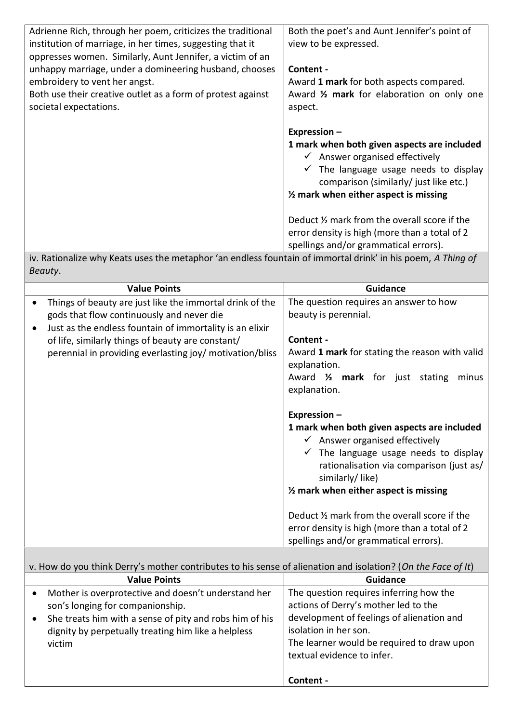| Adrienne Rich, through her poem, criticizes the traditional                                                 | Both the poet's and Aunt Jennifer's point of                                           |
|-------------------------------------------------------------------------------------------------------------|----------------------------------------------------------------------------------------|
| institution of marriage, in her times, suggesting that it                                                   | view to be expressed.                                                                  |
| oppresses women. Similarly, Aunt Jennifer, a victim of an                                                   |                                                                                        |
| unhappy marriage, under a domineering husband, chooses                                                      | Content -                                                                              |
| embroidery to vent her angst.                                                                               | Award 1 mark for both aspects compared.                                                |
| Both use their creative outlet as a form of protest against                                                 | Award 1/2 mark for elaboration on only one                                             |
| societal expectations.                                                                                      | aspect.                                                                                |
|                                                                                                             |                                                                                        |
|                                                                                                             | Expression-                                                                            |
|                                                                                                             | 1 mark when both given aspects are included                                            |
|                                                                                                             | $\checkmark$ Answer organised effectively                                              |
|                                                                                                             | $\checkmark$ The language usage needs to display                                       |
|                                                                                                             | comparison (similarly/ just like etc.)                                                 |
|                                                                                                             | $\frac{1}{2}$ mark when either aspect is missing                                       |
|                                                                                                             |                                                                                        |
|                                                                                                             | Deduct 1/2 mark from the overall score if the                                          |
|                                                                                                             | error density is high (more than a total of 2                                          |
|                                                                                                             | spellings and/or grammatical errors).                                                  |
| iv. Rationalize why Keats uses the metaphor 'an endless fountain of immortal drink' in his poem, A Thing of |                                                                                        |
| Beauty.                                                                                                     |                                                                                        |
|                                                                                                             |                                                                                        |
|                                                                                                             |                                                                                        |
| <b>Value Points</b>                                                                                         | <b>Guidance</b>                                                                        |
| Things of beauty are just like the immortal drink of the                                                    | The question requires an answer to how                                                 |
| gods that flow continuously and never die                                                                   | beauty is perennial.                                                                   |
| Just as the endless fountain of immortality is an elixir                                                    |                                                                                        |
| of life, similarly things of beauty are constant/                                                           | Content -                                                                              |
| perennial in providing everlasting joy/ motivation/bliss                                                    | Award 1 mark for stating the reason with valid                                         |
|                                                                                                             | explanation.                                                                           |
|                                                                                                             | Award 1/2 mark for just stating<br>minus                                               |
|                                                                                                             | explanation.                                                                           |
|                                                                                                             |                                                                                        |
|                                                                                                             | Expression -                                                                           |
|                                                                                                             | 1 mark when both given aspects are included                                            |
|                                                                                                             | $\checkmark$ Answer organised effectively                                              |
|                                                                                                             | $\checkmark$ The language usage needs to display                                       |
|                                                                                                             | rationalisation via comparison (just as/                                               |
|                                                                                                             | similarly/like)                                                                        |
|                                                                                                             | $\frac{1}{2}$ mark when either aspect is missing                                       |
|                                                                                                             |                                                                                        |
|                                                                                                             | Deduct 1/2 mark from the overall score if the                                          |
|                                                                                                             | error density is high (more than a total of 2<br>spellings and/or grammatical errors). |

|           | v. How do you think Derry's mother contributes to his sense of alienation and isolation? (On the Face of It) |                                            |
|-----------|--------------------------------------------------------------------------------------------------------------|--------------------------------------------|
|           | <b>Value Points</b>                                                                                          | <b>Guidance</b>                            |
| $\bullet$ | Mother is overprotective and doesn't understand her                                                          | The question requires inferring how the    |
|           | son's longing for companionship.                                                                             | actions of Derry's mother led to the       |
|           | She treats him with a sense of pity and robs him of his                                                      | development of feelings of alienation and  |
|           | dignity by perpetually treating him like a helpless                                                          | isolation in her son.                      |
|           | victim                                                                                                       | The learner would be required to draw upon |
|           |                                                                                                              | textual evidence to infer.                 |
|           |                                                                                                              |                                            |
|           |                                                                                                              | Content -                                  |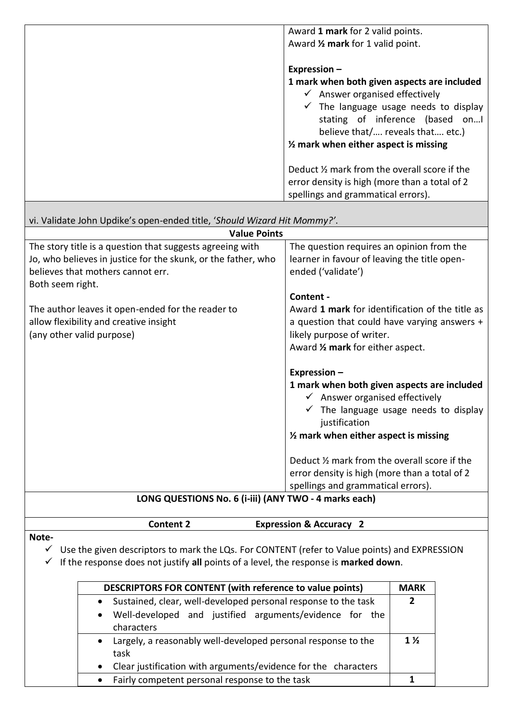| Award 1 mark for 2 valid points.<br>Award 1/2 mark for 1 valid point.                                                                                                                                                                                                                    |
|------------------------------------------------------------------------------------------------------------------------------------------------------------------------------------------------------------------------------------------------------------------------------------------|
| Expression $-$<br>1 mark when both given aspects are included<br>$\checkmark$ Answer organised effectively<br>$\checkmark$ The language usage needs to display<br>stating of inference (based on<br>believe that/ reveals that etc.)<br>$\frac{1}{2}$ mark when either aspect is missing |
| Deduct 1/2 mark from the overall score if the<br>error density is high (more than a total of 2<br>spellings and grammatical errors).                                                                                                                                                     |

vi. Validate John Updike's open-ended title, '*Should Wizard Hit Mommy?'*.

| <b>Value Points</b>                                           |                                                  |  |
|---------------------------------------------------------------|--------------------------------------------------|--|
| The story title is a question that suggests agreeing with     | The question requires an opinion from the        |  |
| Jo, who believes in justice for the skunk, or the father, who | learner in favour of leaving the title open-     |  |
| believes that mothers cannot err.                             | ended ('validate')                               |  |
| Both seem right.                                              |                                                  |  |
|                                                               | Content -                                        |  |
| The author leaves it open-ended for the reader to             | Award 1 mark for identification of the title as  |  |
| allow flexibility and creative insight                        | a question that could have varying answers +     |  |
| (any other valid purpose)                                     | likely purpose of writer.                        |  |
|                                                               | Award 1/2 mark for either aspect.                |  |
|                                                               |                                                  |  |
|                                                               | Expression $-$                                   |  |
|                                                               | 1 mark when both given aspects are included      |  |
|                                                               | $\checkmark$ Answer organised effectively        |  |
|                                                               | $\checkmark$ The language usage needs to display |  |
|                                                               | justification                                    |  |
|                                                               | $\frac{1}{2}$ mark when either aspect is missing |  |
|                                                               |                                                  |  |
|                                                               | Deduct 1/2 mark from the overall score if the    |  |
| error density is high (more than a total of 2                 |                                                  |  |
|                                                               | spellings and grammatical errors).               |  |
| LONG OUESTIONS No. 6 (i-iii) (ANY TWO - 4 marks each)         |                                                  |  |

# **LONG QUESTIONS No. 6 (i-iii) (ANY TWO - 4 marks each)**

**Content 2 Expression & Accuracy 2**

**Note-**

✓ Use the given descriptors to mark the LQs. For CONTENT (refer to Value points) and EXPRESSION

✓ If the response does not justify **all** points of a level, the response is **marked down**.

|                        | DESCRIPTORS FOR CONTENT (with reference to value points)                                                                                | <b>MARK</b>    |
|------------------------|-----------------------------------------------------------------------------------------------------------------------------------------|----------------|
| $\bullet$<br>$\bullet$ | Sustained, clear, well-developed personal response to the task<br>Well-developed and justified arguments/evidence for the<br>characters |                |
| $\bullet$<br>$\bullet$ | Largely, a reasonably well-developed personal response to the<br>task<br>Clear justification with arguments/evidence for the characters | $1\frac{1}{2}$ |
|                        | Fairly competent personal response to the task                                                                                          |                |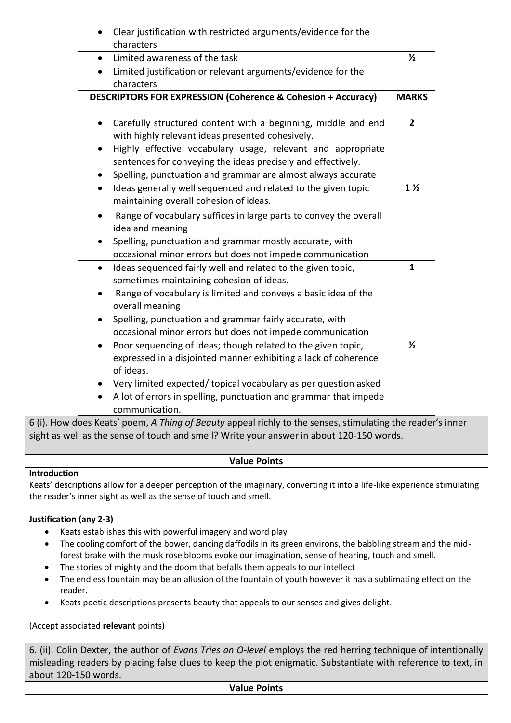| Clear justification with restricted arguments/evidence for the<br>$\bullet$<br>characters                                      |                |
|--------------------------------------------------------------------------------------------------------------------------------|----------------|
| Limited awareness of the task<br>$\bullet$                                                                                     | $\frac{1}{2}$  |
| Limited justification or relevant arguments/evidence for the                                                                   |                |
| characters                                                                                                                     |                |
| DESCRIPTORS FOR EXPRESSION (Coherence & Cohesion + Accuracy)                                                                   | <b>MARKS</b>   |
| Carefully structured content with a beginning, middle and end<br>$\bullet$<br>with highly relevant ideas presented cohesively. | $\overline{2}$ |
| Highly effective vocabulary usage, relevant and appropriate<br>sentences for conveying the ideas precisely and effectively.    |                |
| Spelling, punctuation and grammar are almost always accurate                                                                   |                |
| Ideas generally well sequenced and related to the given topic<br>$\bullet$<br>maintaining overall cohesion of ideas.           | $1\frac{1}{2}$ |
| Range of vocabulary suffices in large parts to convey the overall<br>idea and meaning                                          |                |
| Spelling, punctuation and grammar mostly accurate, with<br>occasional minor errors but does not impede communication           |                |
| Ideas sequenced fairly well and related to the given topic,<br>$\bullet$                                                       | $\mathbf{1}$   |
| sometimes maintaining cohesion of ideas.                                                                                       |                |
| Range of vocabulary is limited and conveys a basic idea of the<br>overall meaning                                              |                |
| Spelling, punctuation and grammar fairly accurate, with                                                                        |                |
| occasional minor errors but does not impede communication                                                                      |                |
| Poor sequencing of ideas; though related to the given topic,<br>$\bullet$                                                      | $\frac{1}{2}$  |
| expressed in a disjointed manner exhibiting a lack of coherence                                                                |                |
| of ideas.                                                                                                                      |                |
| Very limited expected/ topical vocabulary as per question asked                                                                |                |
| A lot of errors in spelling, punctuation and grammar that impede<br>communication.                                             |                |
| .                                                                                                                              |                |

6 (i). How does Keats' poem, *A Thing of Beauty* appeal richly to the senses, stimulating the reader's inner sight as well as the sense of touch and smell? Write your answer in about 120-150 words.

# **Value Points**

### **Introduction**

Keats' descriptions allow for a deeper perception of the imaginary, converting it into a life-like experience stimulating the reader's inner sight as well as the sense of touch and smell.

### **Justification (any 2-3)**

- Keats establishes this with powerful imagery and word play
- The cooling comfort of the bower, dancing daffodils in its green environs, the babbling stream and the midforest brake with the musk rose blooms evoke our imagination, sense of hearing, touch and smell.
- The stories of mighty and the doom that befalls them appeals to our intellect
- The endless fountain may be an allusion of the fountain of youth however it has a sublimating effect on the reader.
- Keats poetic descriptions presents beauty that appeals to our senses and gives delight.

(Accept associated **relevant** points)

6. (ii). Colin Dexter, the author of *Evans Tries an O-level* employs the red herring technique of intentionally misleading readers by placing false clues to keep the plot enigmatic. Substantiate with reference to text, in about 120-150 words.

#### **Value Points**